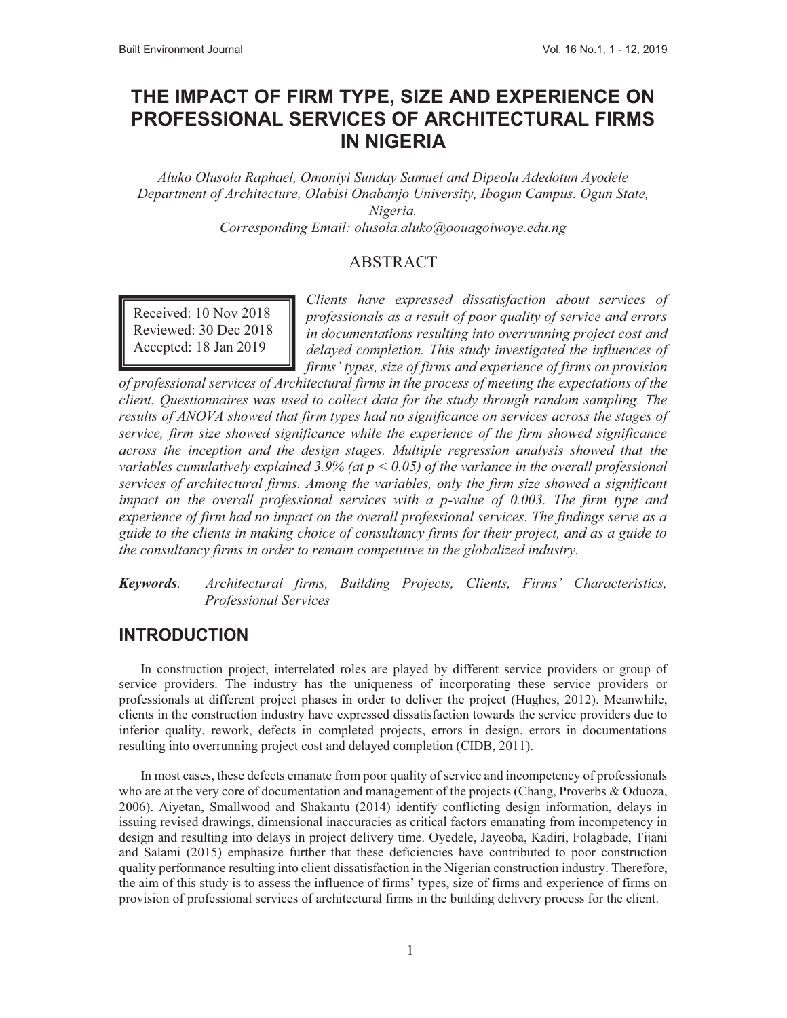# **THE IMPACT OF FIRM TYPE, SIZE AND EXPERIENCE ON PROFESSIONAL SERVICES OF ARCHITECTURAL FIRMS IN NIGERIA**

*Aluko Olusola Raphael, Omoniyi Sunday Samuel and Dipeolu Adedotun Ayodele Department of Architecture, Olabisi Onabanjo University, Ibogun Campus. Ogun State, Nigeria.* 

*Corresponding Email: olusola.aluko@oouagoiwoye.edu.ng* 

#### ABSTRACT

Received: 10 Nov 2018 Reviewed: 30 Dec 2018 Accepted: 18 Jan 2019

*Clients have expressed dissatisfaction about services of professionals as a result of poor quality of service and errors in documentations resulting into overrunning project cost and delayed completion. This study investigated the influences of firms' types, size of firms and experience of firms on provision* 

*of professional services of Architectural firms in the process of meeting the expectations of the client. Questionnaires was used to collect data for the study through random sampling. The results of ANOVA showed that firm types had no significance on services across the stages of service, firm size showed significance while the experience of the firm showed significance across the inception and the design stages. Multiple regression analysis showed that the variables cumulatively explained 3.9% (at p < 0.05) of the variance in the overall professional services of architectural firms. Among the variables, only the firm size showed a significant impact on the overall professional services with a p-value of 0.003. The firm type and experience of firm had no impact on the overall professional services. The findings serve as a guide to the clients in making choice of consultancy firms for their project, and as a guide to the consultancy firms in order to remain competitive in the globalized industry.* 

*Keywords: Architectural firms, Building Projects, Clients, Firms' Characteristics, Professional Services* 

#### **INTRODUCTION**

In construction project, interrelated roles are played by different service providers or group of service providers. The industry has the uniqueness of incorporating these service providers or professionals at different project phases in order to deliver the project (Hughes, 2012). Meanwhile, clients in the construction industry have expressed dissatisfaction towards the service providers due to inferior quality, rework, defects in completed projects, errors in design, errors in documentations resulting into overrunning project cost and delayed completion (CIDB, 2011).

In most cases, these defects emanate from poor quality of service and incompetency of professionals who are at the very core of documentation and management of the projects (Chang, Proverbs & Oduoza, 2006). Aiyetan, Smallwood and Shakantu (2014) identify conflicting design information, delays in issuing revised drawings, dimensional inaccuracies as critical factors emanating from incompetency in design and resulting into delays in project delivery time. Oyedele, Jayeoba, Kadiri, Folagbade, Tijani and Salami (2015) emphasize further that these deficiencies have contributed to poor construction quality performance resulting into client dissatisfaction in the Nigerian construction industry. Therefore, the aim of this study is to assess the influence of firms' types, size of firms and experience of firms on provision of professional services of architectural firms in the building delivery process for the client.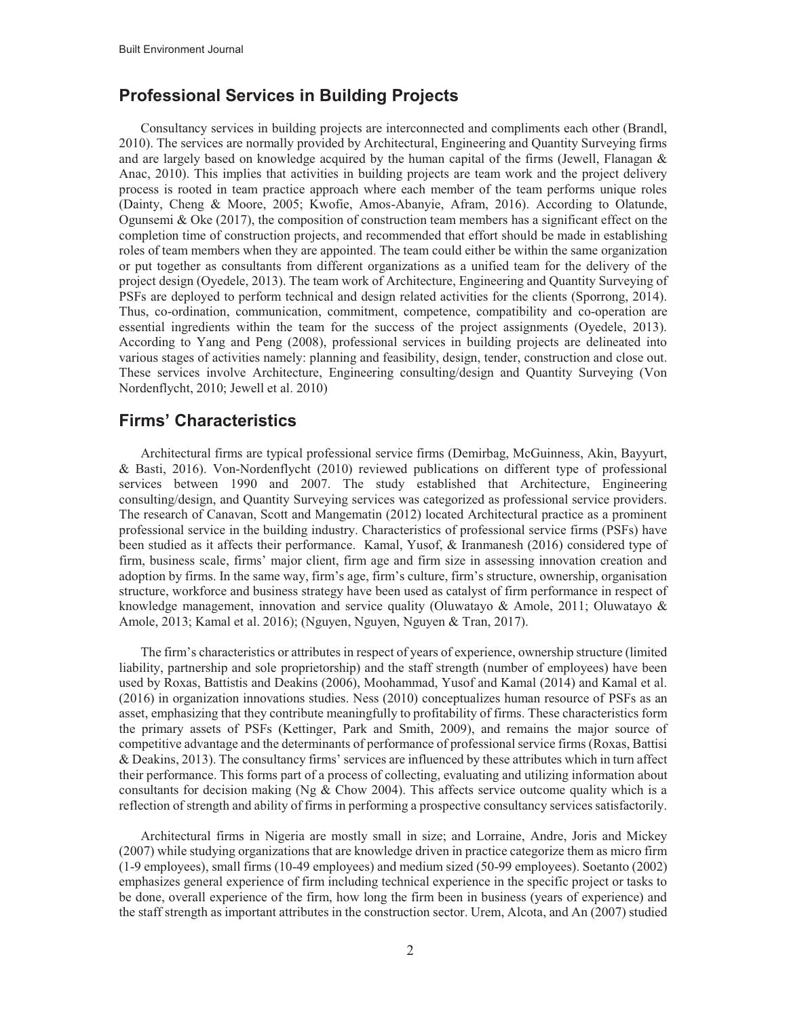### **Professional Services in Building Projects**

Consultancy services in building projects are interconnected and compliments each other (Brandl, 2010). The services are normally provided by Architectural, Engineering and Quantity Surveying firms and are largely based on knowledge acquired by the human capital of the firms (Jewell, Flanagan  $\&$ Anac, 2010). This implies that activities in building projects are team work and the project delivery process is rooted in team practice approach where each member of the team performs unique roles (Dainty, Cheng & Moore, 2005; Kwofie, Amos-Abanyie, Afram, 2016). According to Olatunde, Ogunsemi & Oke (2017), the composition of construction team members has a significant effect on the completion time of construction projects, and recommended that effort should be made in establishing roles of team members when they are appointed. The team could either be within the same organization or put together as consultants from different organizations as a unified team for the delivery of the project design (Oyedele, 2013). The team work of Architecture, Engineering and Quantity Surveying of PSFs are deployed to perform technical and design related activities for the clients (Sporrong, 2014). Thus, co-ordination, communication, commitment, competence, compatibility and co-operation are essential ingredients within the team for the success of the project assignments (Oyedele, 2013). According to Yang and Peng (2008), professional services in building projects are delineated into various stages of activities namely: planning and feasibility, design, tender, construction and close out. These services involve Architecture, Engineering consulting/design and Quantity Surveying (Von Nordenflycht, 2010; Jewell et al. 2010)

### **Firms' Characteristics**

Architectural firms are typical professional service firms (Demirbag, McGuinness, Akin, Bayyurt, & Basti, 2016). Von-Nordenflycht (2010) reviewed publications on different type of professional services between 1990 and 2007. The study established that Architecture, Engineering consulting/design, and Quantity Surveying services was categorized as professional service providers. The research of Canavan, Scott and Mangematin (2012) located Architectural practice as a prominent professional service in the building industry. Characteristics of professional service firms (PSFs) have been studied as it affects their performance. Kamal, Yusof, & Iranmanesh (2016) considered type of firm, business scale, firms' major client, firm age and firm size in assessing innovation creation and adoption by firms. In the same way, firm's age, firm's culture, firm's structure, ownership, organisation structure, workforce and business strategy have been used as catalyst of firm performance in respect of knowledge management, innovation and service quality (Oluwatayo & Amole, 2011; Oluwatayo & Amole, 2013; Kamal et al. 2016); (Nguyen, Nguyen, Nguyen & Tran, 2017).

The firm's characteristics or attributes in respect of years of experience, ownership structure (limited liability, partnership and sole proprietorship) and the staff strength (number of employees) have been used by Roxas, Battistis and Deakins (2006), Moohammad, Yusof and Kamal (2014) and Kamal et al. (2016) in organization innovations studies. Ness (2010) conceptualizes human resource of PSFs as an asset, emphasizing that they contribute meaningfully to profitability of firms. These characteristics form the primary assets of PSFs (Kettinger, Park and Smith, 2009), and remains the major source of competitive advantage and the determinants of performance of professional service firms (Roxas, Battisi & Deakins, 2013). The consultancy firms' services are influenced by these attributes which in turn affect their performance. This forms part of a process of collecting, evaluating and utilizing information about consultants for decision making (Ng & Chow 2004). This affects service outcome quality which is a reflection of strength and ability of firms in performing a prospective consultancy services satisfactorily.

Architectural firms in Nigeria are mostly small in size; and Lorraine, Andre, Joris and Mickey (2007) while studying organizations that are knowledge driven in practice categorize them as micro firm (1-9 employees), small firms (10-49 employees) and medium sized (50-99 employees). Soetanto (2002) emphasizes general experience of firm including technical experience in the specific project or tasks to be done, overall experience of the firm, how long the firm been in business (years of experience) and the staff strength as important attributes in the construction sector. Urem, Alcota, and An (2007) studied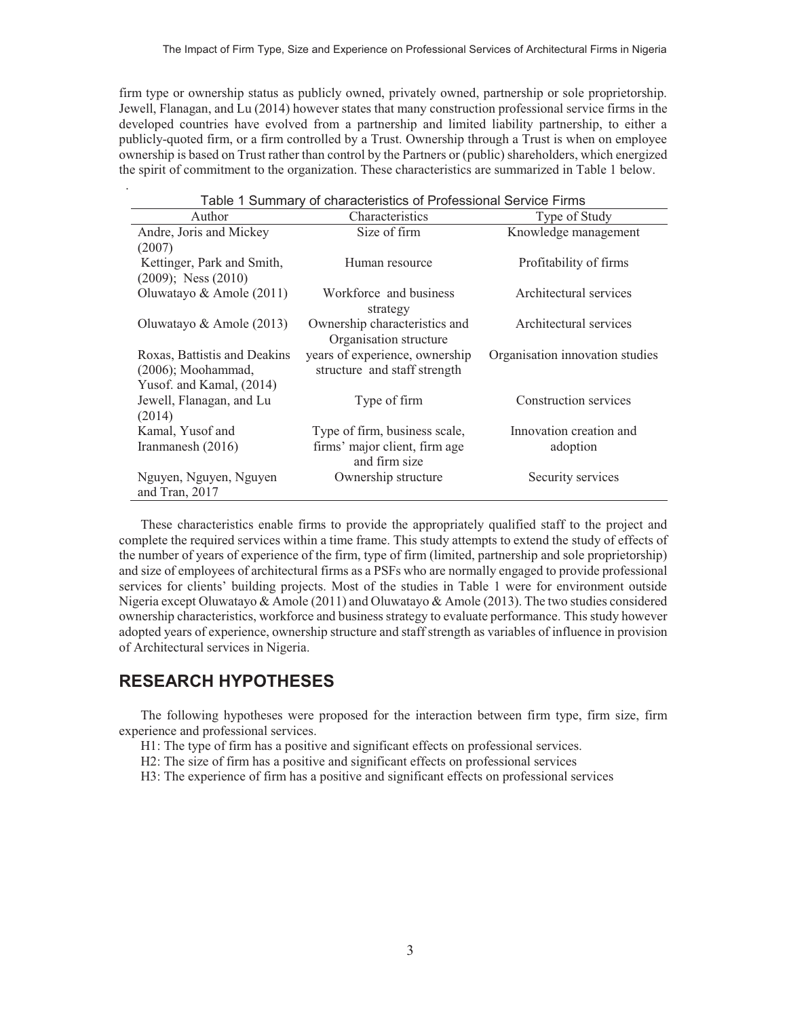firm type or ownership status as publicly owned, privately owned, partnership or sole proprietorship. Jewell, Flanagan, and Lu (2014) however states that many construction professional service firms in the developed countries have evolved from a partnership and limited liability partnership, to either a publicly-quoted firm, or a firm controlled by a Trust. Ownership through a Trust is when on employee ownership is based on Trust rather than control by the Partners or (public) shareholders, which energized the spirit of commitment to the organization. These characteristics are summarized in Table 1 below.

| Table 1 Summary of characteristics of Professional Service Firms |                                |                                 |  |  |  |  |  |
|------------------------------------------------------------------|--------------------------------|---------------------------------|--|--|--|--|--|
| Author                                                           | Characteristics                | Type of Study                   |  |  |  |  |  |
| Andre, Joris and Mickey                                          | Size of firm                   | Knowledge management            |  |  |  |  |  |
| (2007)                                                           |                                |                                 |  |  |  |  |  |
| Kettinger, Park and Smith,                                       | Human resource                 | Profitability of firms          |  |  |  |  |  |
| $(2009)$ ; Ness $(2010)$                                         |                                |                                 |  |  |  |  |  |
| Oluwatayo & Amole (2011)                                         | Workforce and business         | Architectural services          |  |  |  |  |  |
|                                                                  | strategy                       |                                 |  |  |  |  |  |
| Oluwatayo & Amole (2013)                                         | Ownership characteristics and  | Architectural services          |  |  |  |  |  |
|                                                                  | Organisation structure         |                                 |  |  |  |  |  |
| Roxas, Battistis and Deakins                                     | years of experience, ownership | Organisation innovation studies |  |  |  |  |  |
| $(2006)$ ; Moohammad,                                            | structure and staff strength   |                                 |  |  |  |  |  |
| Yusof. and Kamal, (2014)                                         |                                |                                 |  |  |  |  |  |
| Jewell, Flanagan, and Lu                                         | Type of firm                   | Construction services           |  |  |  |  |  |
| (2014)                                                           |                                |                                 |  |  |  |  |  |
| Kamal, Yusof and                                                 | Type of firm, business scale,  | Innovation creation and         |  |  |  |  |  |
| Iranmanesh (2016)                                                | firms' major client, firm age  | adoption                        |  |  |  |  |  |
|                                                                  | and firm size                  |                                 |  |  |  |  |  |
| Nguyen, Nguyen, Nguyen                                           | Ownership structure            | Security services               |  |  |  |  |  |
| and Tran, 2017                                                   |                                |                                 |  |  |  |  |  |

These characteristics enable firms to provide the appropriately qualified staff to the project and complete the required services within a time frame. This study attempts to extend the study of effects of the number of years of experience of the firm, type of firm (limited, partnership and sole proprietorship) and size of employees of architectural firms as a PSFs who are normally engaged to provide professional services for clients' building projects. Most of the studies in Table 1 were for environment outside Nigeria except Oluwatayo & Amole (2011) and Oluwatayo & Amole (2013). The two studies considered ownership characteristics, workforce and business strategy to evaluate performance. This study however adopted years of experience, ownership structure and staff strength as variables of influence in provision of Architectural services in Nigeria.

### **RESEARCH HYPOTHESES**

.

The following hypotheses were proposed for the interaction between firm type, firm size, firm experience and professional services.

H1: The type of firm has a positive and significant effects on professional services.

- H2: The size of firm has a positive and significant effects on professional services
- H3: The experience of firm has a positive and significant effects on professional services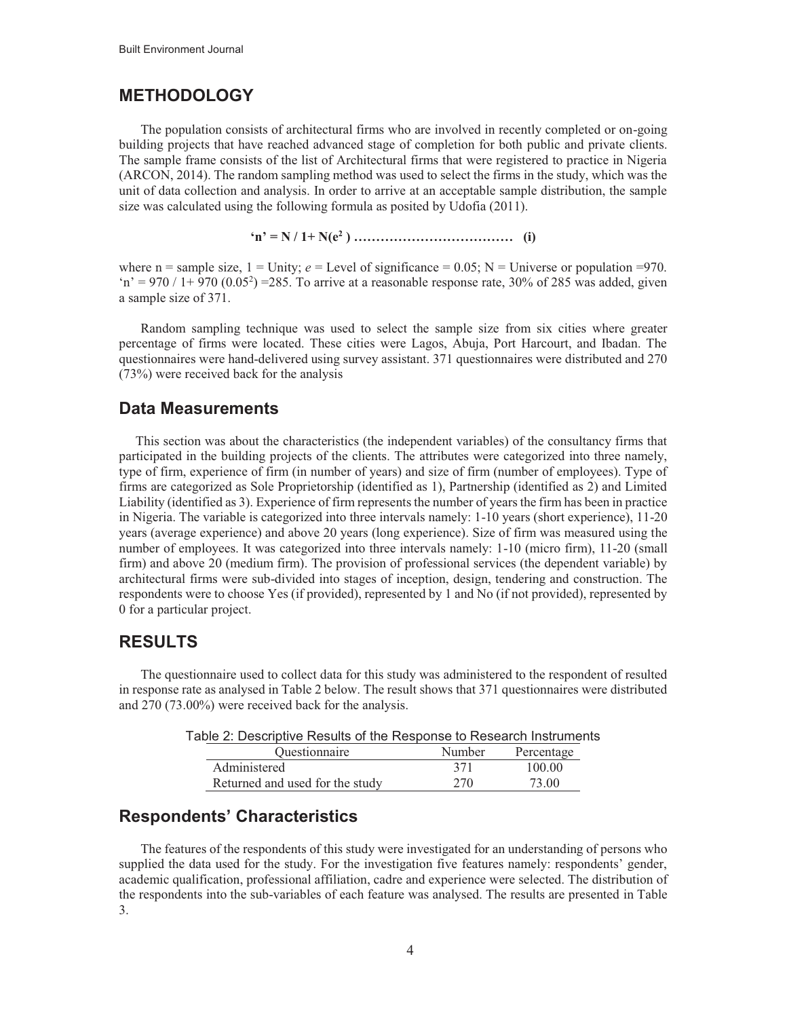### **METHODOLOGY**

The population consists of architectural firms who are involved in recently completed or on-going building projects that have reached advanced stage of completion for both public and private clients. The sample frame consists of the list of Architectural firms that were registered to practice in Nigeria (ARCON, 2014). The random sampling method was used to select the firms in the study, which was the unit of data collection and analysis. In order to arrive at an acceptable sample distribution, the sample size was calculated using the following formula as posited by Udofia (2011).

**'n' = N / 1+ N(e<sup>2</sup> ) ……………………………… (i)**

where  $n =$  sample size,  $1 =$  Unity;  $e =$  Level of significance = 0.05; N = Universe or population =970.  $n' = 970 / 1 + 970 (0.05^2) = 285$ . To arrive at a reasonable response rate, 30% of 285 was added, given a sample size of 371.

Random sampling technique was used to select the sample size from six cities where greater percentage of firms were located. These cities were Lagos, Abuja, Port Harcourt, and Ibadan. The questionnaires were hand-delivered using survey assistant. 371 questionnaires were distributed and 270 (73%) were received back for the analysis

#### **Data Measurements**

 This section was about the characteristics (the independent variables) of the consultancy firms that participated in the building projects of the clients. The attributes were categorized into three namely, type of firm, experience of firm (in number of years) and size of firm (number of employees). Type of firms are categorized as Sole Proprietorship (identified as 1), Partnership (identified as 2) and Limited Liability (identified as 3). Experience of firm represents the number of years the firm has been in practice in Nigeria. The variable is categorized into three intervals namely: 1-10 years (short experience), 11-20 years (average experience) and above 20 years (long experience). Size of firm was measured using the number of employees. It was categorized into three intervals namely: 1-10 (micro firm), 11-20 (small firm) and above 20 (medium firm). The provision of professional services (the dependent variable) by architectural firms were sub-divided into stages of inception, design, tendering and construction. The respondents were to choose Yes (if provided), represented by 1 and No (if not provided), represented by 0 for a particular project.

#### **RESULTS**

The questionnaire used to collect data for this study was administered to the respondent of resulted in response rate as analysed in Table 2 below. The result shows that 371 questionnaires were distributed and 270 (73.00%) were received back for the analysis.

| <i><u><b>Ouestionnaire</b></u></i> | Number | Percentage |
|------------------------------------|--------|------------|
| Administered                       | 371    | 100.00     |
| Returned and used for the study    | 270    | 73.00      |

### **Respondents' Characteristics**

The features of the respondents of this study were investigated for an understanding of persons who supplied the data used for the study. For the investigation five features namely: respondents' gender, academic qualification, professional affiliation, cadre and experience were selected. The distribution of the respondents into the sub-variables of each feature was analysed. The results are presented in Table 3.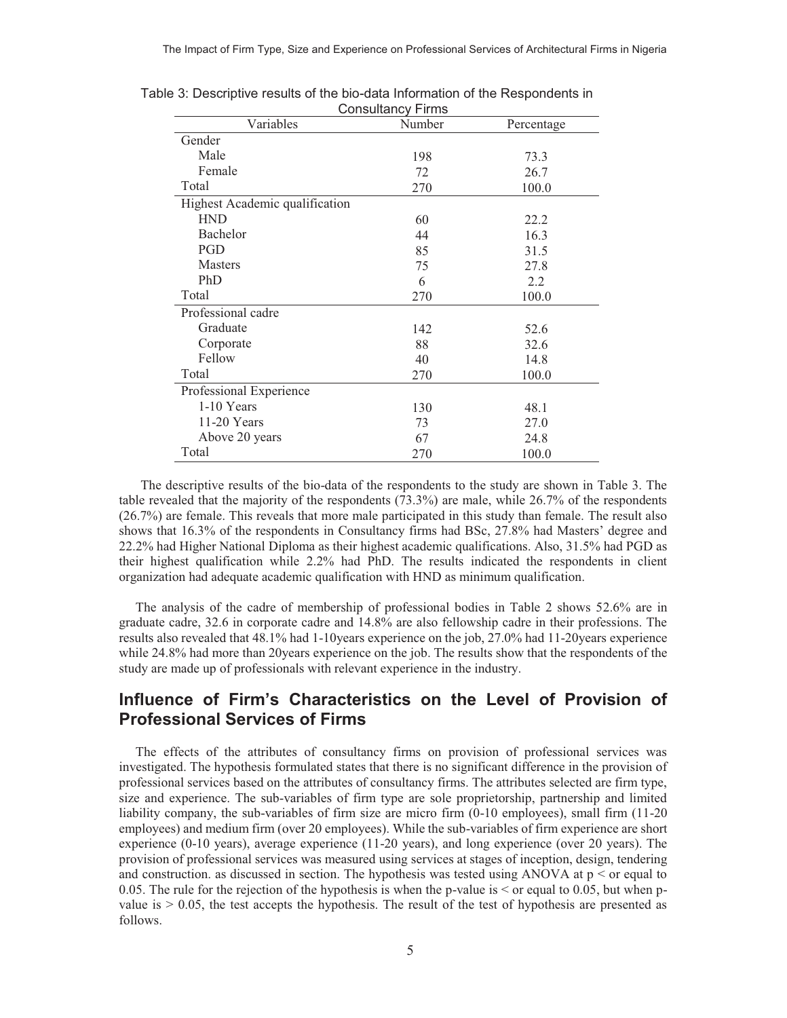| Consultancy Finns              |        |            |  |  |  |
|--------------------------------|--------|------------|--|--|--|
| Variables                      | Number | Percentage |  |  |  |
| Gender                         |        |            |  |  |  |
| Male                           | 198    | 73.3       |  |  |  |
| Female                         | 72     | 26.7       |  |  |  |
| Total                          | 270    | 100.0      |  |  |  |
| Highest Academic qualification |        |            |  |  |  |
| <b>HND</b>                     | 60     | 22.2       |  |  |  |
| Bachelor                       | 44     | 16.3       |  |  |  |
| <b>PGD</b>                     | 85     | 31.5       |  |  |  |
| <b>Masters</b>                 | 75     | 27.8       |  |  |  |
| PhD                            | 6      | 2.2        |  |  |  |
| Total                          | 270    | 100.0      |  |  |  |
| Professional cadre             |        |            |  |  |  |
| Graduate                       | 142    | 52.6       |  |  |  |
| Corporate                      | 88     | 32.6       |  |  |  |
| Fellow                         | 40     | 14.8       |  |  |  |
| Total                          | 270    | 100.0      |  |  |  |
| Professional Experience        |        |            |  |  |  |
| $1-10$ Years                   | 130    | 48.1       |  |  |  |
| 11-20 Years                    | 73     | 27.0       |  |  |  |
| Above 20 years                 | 67     | 24.8       |  |  |  |
| Total                          | 270    | 100.0      |  |  |  |

Table 3: Descriptive results of the bio-data Information of the Respondents in Consultancy Firms

The descriptive results of the bio-data of the respondents to the study are shown in Table 3. The table revealed that the majority of the respondents (73.3%) are male, while 26.7% of the respondents (26.7%) are female. This reveals that more male participated in this study than female. The result also shows that 16.3% of the respondents in Consultancy firms had BSc, 27.8% had Masters' degree and 22.2% had Higher National Diploma as their highest academic qualifications. Also, 31.5% had PGD as their highest qualification while 2.2% had PhD. The results indicated the respondents in client organization had adequate academic qualification with HND as minimum qualification.

 The analysis of the cadre of membership of professional bodies in Table 2 shows 52.6% are in graduate cadre, 32.6 in corporate cadre and 14.8% are also fellowship cadre in their professions. The results also revealed that 48.1% had 1-10years experience on the job, 27.0% had 11-20years experience while 24.8% had more than 20years experience on the job. The results show that the respondents of the study are made up of professionals with relevant experience in the industry.

### **Influence of Firm's Characteristics on the Level of Provision of Professional Services of Firms**

 The effects of the attributes of consultancy firms on provision of professional services was investigated. The hypothesis formulated states that there is no significant difference in the provision of professional services based on the attributes of consultancy firms. The attributes selected are firm type, size and experience. The sub-variables of firm type are sole proprietorship, partnership and limited liability company, the sub-variables of firm size are micro firm (0-10 employees), small firm (11-20 employees) and medium firm (over 20 employees). While the sub-variables of firm experience are short experience (0-10 years), average experience (11-20 years), and long experience (over 20 years). The provision of professional services was measured using services at stages of inception, design, tendering and construction. as discussed in section. The hypothesis was tested using ANOVA at  $p \leq$  or equal to 0.05. The rule for the rejection of the hypothesis is when the p-value is  $\leq$  or equal to 0.05, but when pvalue is  $> 0.05$ , the test accepts the hypothesis. The result of the test of hypothesis are presented as follows.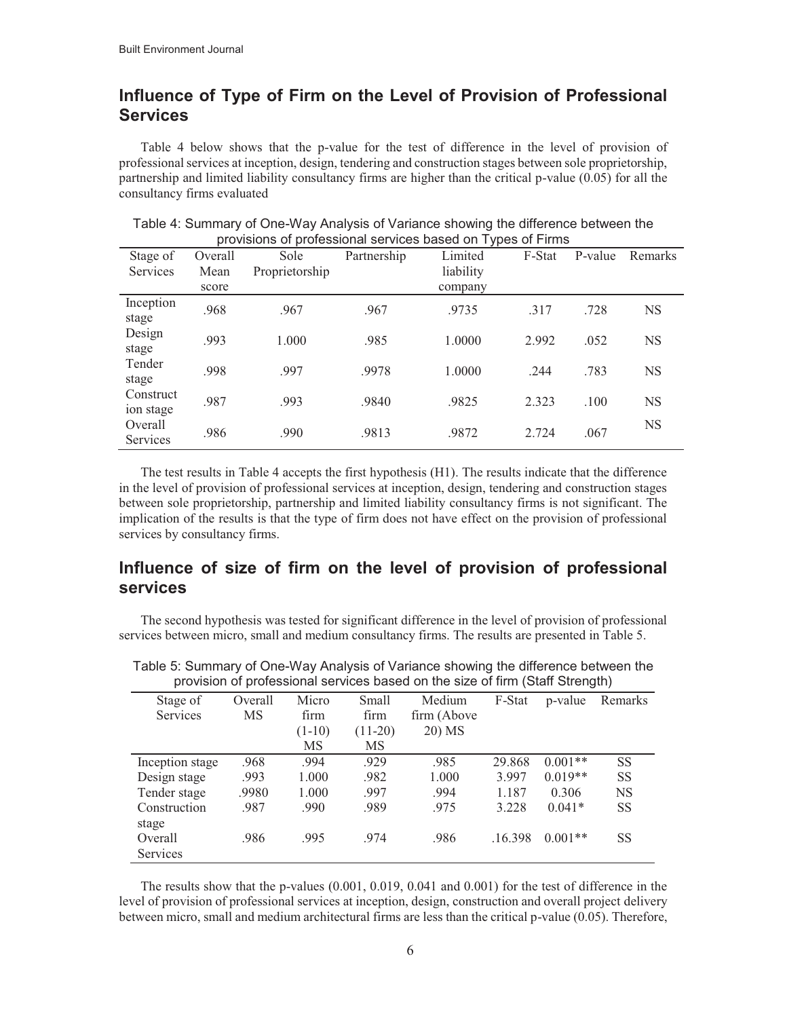### **Influence of Type of Firm on the Level of Provision of Professional Services**

Table 4 below shows that the p-value for the test of difference in the level of provision of professional services at inception, design, tendering and construction stages between sole proprietorship, partnership and limited liability consultancy firms are higher than the critical p-value (0.05) for all the consultancy firms evaluated

|                        |         | provisions of professional services based on Types of Films |             |           |        |         |           |
|------------------------|---------|-------------------------------------------------------------|-------------|-----------|--------|---------|-----------|
| Stage of               | Overall | Sole                                                        | Partnership | Limited   | F-Stat | P-value | Remarks   |
| <b>Services</b>        | Mean    | Proprietorship                                              |             | liability |        |         |           |
|                        | score   |                                                             |             | company   |        |         |           |
| Inception<br>stage     | .968    | .967                                                        | .967        | .9735     | .317   | .728    | <b>NS</b> |
| Design<br>stage        | .993    | 1.000                                                       | .985        | 1.0000    | 2.992  | .052    | <b>NS</b> |
| Tender<br>stage        | .998    | .997                                                        | .9978       | 1.0000    | .244   | .783    | <b>NS</b> |
| Construct<br>ion stage | .987    | .993                                                        | .9840       | .9825     | 2.323  | .100    | <b>NS</b> |
| Overall<br>Services    | .986    | .990                                                        | .9813       | .9872     | 2.724  | .067    | <b>NS</b> |

Table 4: Summary of One-Way Analysis of Variance showing the difference between the provisions of professional services based on Types of Firms

The test results in Table 4 accepts the first hypothesis (H1). The results indicate that the difference in the level of provision of professional services at inception, design, tendering and construction stages between sole proprietorship, partnership and limited liability consultancy firms is not significant. The implication of the results is that the type of firm does not have effect on the provision of professional services by consultancy firms.

### **Influence of size of firm on the level of provision of professional services**

The second hypothesis was tested for significant difference in the level of provision of professional services between micro, small and medium consultancy firms. The results are presented in Table 5.

| Stage of        | Overall | Micro    | Small     | Medium       | F-Stat  | p-value   | Remarks   |
|-----------------|---------|----------|-----------|--------------|---------|-----------|-----------|
| <b>Services</b> | MS      | firm     | firm      | firm (Above) |         |           |           |
|                 |         | $(1-10)$ | $(11-20)$ | 20) MS       |         |           |           |
|                 |         | MS       | MS        |              |         |           |           |
| Inception stage | .968    | .994     | .929      | .985         | 29.868  | $0.001**$ | SS        |
| Design stage    | .993    | 1.000    | .982      | 1.000        | 3.997   | $0.019**$ | <b>SS</b> |
| Tender stage    | .9980   | 1.000    | .997      | .994         | 1.187   | 0.306     | <b>NS</b> |
| Construction    | .987    | .990     | .989      | .975         | 3.228   | $0.041*$  | SS        |
| stage           |         |          |           |              |         |           |           |
| Overall         | .986    | .995     | .974      | .986         | .16.398 | $0.001**$ | SS        |
| Services        |         |          |           |              |         |           |           |

Table 5: Summary of One-Way Analysis of Variance showing the difference between the provision of professional services based on the size of firm (Staff Strength)

The results show that the p-values (0.001, 0.019, 0.041 and 0.001) for the test of difference in the level of provision of professional services at inception, design, construction and overall project delivery between micro, small and medium architectural firms are less than the critical p-value (0.05). Therefore,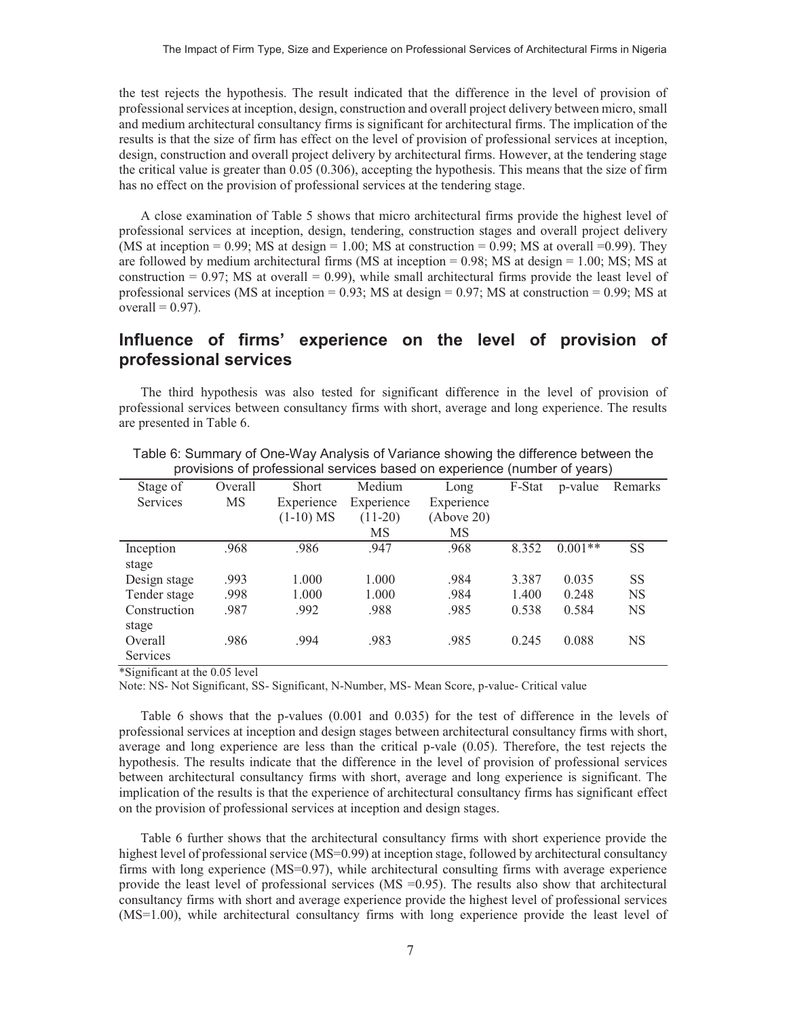the test rejects the hypothesis. The result indicated that the difference in the level of provision of professional services at inception, design, construction and overall project delivery between micro, small and medium architectural consultancy firms is significant for architectural firms. The implication of the results is that the size of firm has effect on the level of provision of professional services at inception, design, construction and overall project delivery by architectural firms. However, at the tendering stage the critical value is greater than 0.05 (0.306), accepting the hypothesis. This means that the size of firm has no effect on the provision of professional services at the tendering stage.

A close examination of Table 5 shows that micro architectural firms provide the highest level of professional services at inception, design, tendering, construction stages and overall project delivery (MS at inception = 0.99; MS at design = 1.00; MS at construction = 0.99; MS at overall = 0.99). They are followed by medium architectural firms ( $MS$  at inception = 0.98;  $MS$  at design = 1.00;  $MS$ ;  $MS$  at construction  $= 0.97$ ; MS at overall  $= 0.99$ ), while small architectural firms provide the least level of professional services (MS at inception  $= 0.93$ ; MS at design  $= 0.97$ ; MS at construction  $= 0.99$ ; MS at overall  $= 0.97$ ).

#### **Influence of firms' experience on the level of provision of professional services**

The third hypothesis was also tested for significant difference in the level of provision of professional services between consultancy firms with short, average and long experience. The results are presented in Table 6.

| Stage of        | Overall   | <b>Short</b> | Medium     | Long       | F-Stat | p-value   | Remarks   |
|-----------------|-----------|--------------|------------|------------|--------|-----------|-----------|
| <b>Services</b> | <b>MS</b> | Experience   | Experience | Experience |        |           |           |
|                 |           | $(1-10)$ MS  | $(11-20)$  | (Above 20) |        |           |           |
|                 |           |              | MS         | MS         |        |           |           |
| Inception       | .968      | .986         | .947       | .968       | 8.352  | $0.001**$ | <b>SS</b> |
| stage           |           |              |            |            |        |           |           |
| Design stage    | .993      | 1.000        | 1.000      | .984       | 3.387  | 0.035     | <b>SS</b> |
| Tender stage    | .998      | 1.000        | 1.000      | .984       | 1.400  | 0.248     | <b>NS</b> |
| Construction    | .987      | .992         | .988       | .985       | 0.538  | 0.584     | <b>NS</b> |
| stage           |           |              |            |            |        |           |           |
| Overall         | .986      | .994         | .983       | .985       | 0.245  | 0.088     | <b>NS</b> |
| Services        |           |              |            |            |        |           |           |

Table 6: Summary of One-Way Analysis of Variance showing the difference between the provisions of professional services based on experience (number of years)

\*Significant at the 0.05 level

Note: NS- Not Significant, SS- Significant, N-Number, MS- Mean Score, p-value- Critical value

Table 6 shows that the p-values (0.001 and 0.035) for the test of difference in the levels of professional services at inception and design stages between architectural consultancy firms with short, average and long experience are less than the critical p-vale (0.05). Therefore, the test rejects the hypothesis. The results indicate that the difference in the level of provision of professional services between architectural consultancy firms with short, average and long experience is significant. The implication of the results is that the experience of architectural consultancy firms has significant effect on the provision of professional services at inception and design stages.

Table 6 further shows that the architectural consultancy firms with short experience provide the highest level of professional service (MS=0.99) at inception stage, followed by architectural consultancy firms with long experience (MS=0.97), while architectural consulting firms with average experience provide the least level of professional services (MS =0.95). The results also show that architectural consultancy firms with short and average experience provide the highest level of professional services (MS=1.00), while architectural consultancy firms with long experience provide the least level of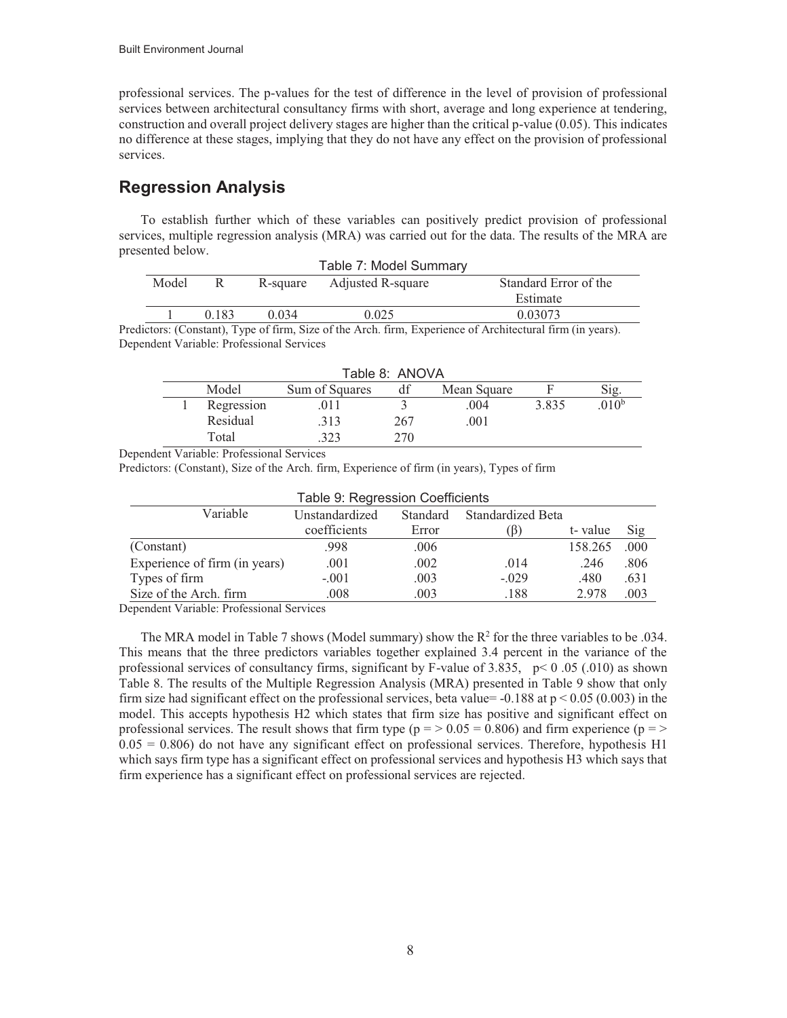professional services. The p-values for the test of difference in the level of provision of professional services between architectural consultancy firms with short, average and long experience at tendering, construction and overall project delivery stages are higher than the critical p-value (0.05). This indicates no difference at these stages, implying that they do not have any effect on the provision of professional services.

# **Regression Analysis**

To establish further which of these variables can positively predict provision of professional services, multiple regression analysis (MRA) was carried out for the data. The results of the MRA are presented below.

| Table 7: Model Summary |       |          |                   |                       |  |  |  |
|------------------------|-------|----------|-------------------|-----------------------|--|--|--|
| Model                  |       | R-square | Adjusted R-square | Standard Error of the |  |  |  |
|                        |       |          |                   | Estimate              |  |  |  |
|                        | 0.183 | 0.034    | 0.025             | 0.03073               |  |  |  |

Predictors: (Constant), Type of firm, Size of the Arch. firm, Experience of Architectural firm (in years). Dependent Variable: Professional Services

| Table 8: ANOVA                                       |            |      |     |      |       |                  |  |  |
|------------------------------------------------------|------------|------|-----|------|-------|------------------|--|--|
| Model<br>df<br>Sum of Squares<br>Mean Square<br>S1g. |            |      |     |      |       |                  |  |  |
|                                                      | Regression | .011 |     | .004 | 3.835 | 010 <sup>b</sup> |  |  |
|                                                      | Residual   | .313 | 267 | .001 |       |                  |  |  |
|                                                      | Total      | 323  | 270 |      |       |                  |  |  |

Dependent Variable: Professional Services

Predictors: (Constant), Size of the Arch. firm, Experience of firm (in years), Types of firm

| Table 9: Regression Coefficients |                                                 |       |           |         |      |  |  |
|----------------------------------|-------------------------------------------------|-------|-----------|---------|------|--|--|
| Variable                         | Standardized Beta<br>Unstandardized<br>Standard |       |           |         |      |  |  |
|                                  | coefficients                                    | Error | $\beta$ ) | t-value | Sig  |  |  |
| (Constant)                       | .998                                            | .006  |           | 158.265 | .000 |  |  |
| Experience of firm (in years)    | .001                                            | .002  | .014      | .246    | .806 |  |  |
| Types of firm                    | $-.001$                                         | .003  | $-.029$   | .480    | .631 |  |  |
| Size of the Arch. firm           | .008                                            | .003  | .188      | 2.978   | .003 |  |  |

Dependent Variable: Professional Services

The MRA model in Table 7 shows (Model summary) show the  $R^2$  for the three variables to be .034. This means that the three predictors variables together explained 3.4 percent in the variance of the professional services of consultancy firms, significant by F-value of 3.835,  $p < 0.05$  (.010) as shown Table 8. The results of the Multiple Regression Analysis (MRA) presented in Table 9 show that only firm size had significant effect on the professional services, beta value=  $-0.188$  at  $p < 0.05$  (0.003) in the model. This accepts hypothesis H2 which states that firm size has positive and significant effect on professional services. The result shows that firm type ( $p = 0.05 = 0.806$ ) and firm experience ( $p = 2$ )  $0.05 = 0.806$ ) do not have any significant effect on professional services. Therefore, hypothesis H1 which says firm type has a significant effect on professional services and hypothesis H3 which says that firm experience has a significant effect on professional services are rejected.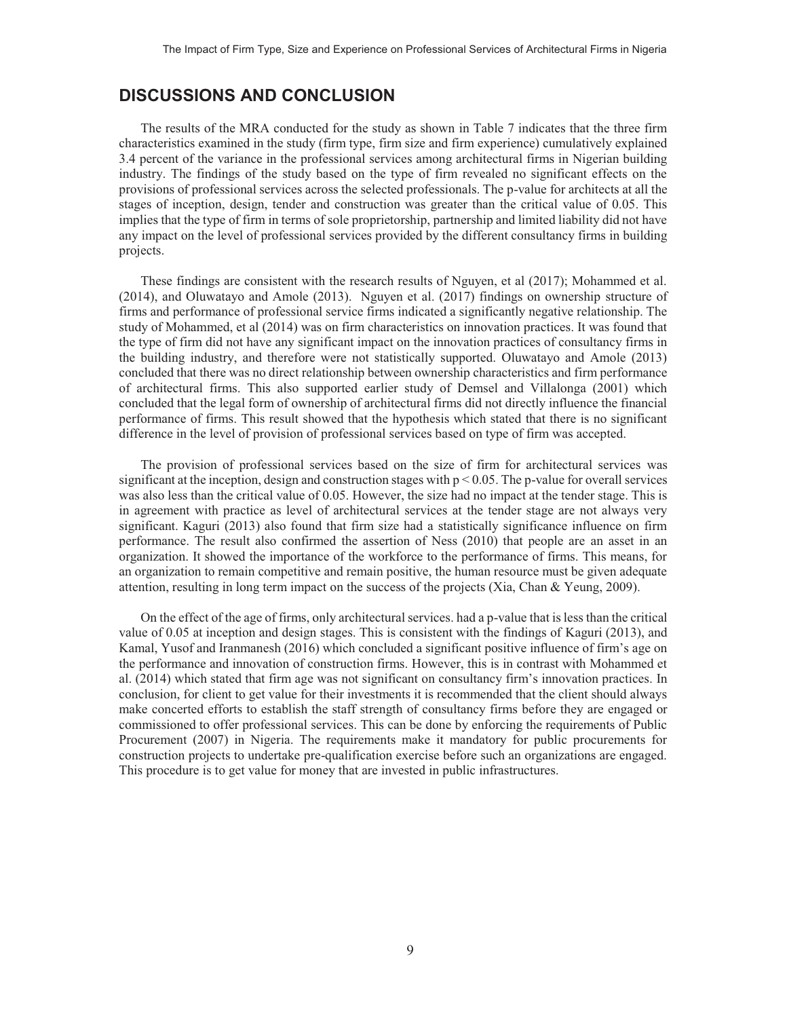#### **DISCUSSIONS AND CONCLUSION**

The results of the MRA conducted for the study as shown in Table 7 indicates that the three firm characteristics examined in the study (firm type, firm size and firm experience) cumulatively explained 3.4 percent of the variance in the professional services among architectural firms in Nigerian building industry. The findings of the study based on the type of firm revealed no significant effects on the provisions of professional services across the selected professionals. The p-value for architects at all the stages of inception, design, tender and construction was greater than the critical value of 0.05. This implies that the type of firm in terms of sole proprietorship, partnership and limited liability did not have any impact on the level of professional services provided by the different consultancy firms in building projects.

These findings are consistent with the research results of Nguyen, et al (2017); Mohammed et al. (2014), and Oluwatayo and Amole (2013). Nguyen et al. (2017) findings on ownership structure of firms and performance of professional service firms indicated a significantly negative relationship. The study of Mohammed, et al (2014) was on firm characteristics on innovation practices. It was found that the type of firm did not have any significant impact on the innovation practices of consultancy firms in the building industry, and therefore were not statistically supported. Oluwatayo and Amole (2013) concluded that there was no direct relationship between ownership characteristics and firm performance of architectural firms. This also supported earlier study of Demsel and Villalonga (2001) which concluded that the legal form of ownership of architectural firms did not directly influence the financial performance of firms. This result showed that the hypothesis which stated that there is no significant difference in the level of provision of professional services based on type of firm was accepted.

The provision of professional services based on the size of firm for architectural services was significant at the inception, design and construction stages with  $p < 0.05$ . The p-value for overall services was also less than the critical value of 0.05. However, the size had no impact at the tender stage. This is in agreement with practice as level of architectural services at the tender stage are not always very significant. Kaguri (2013) also found that firm size had a statistically significance influence on firm performance. The result also confirmed the assertion of Ness (2010) that people are an asset in an organization. It showed the importance of the workforce to the performance of firms. This means, for an organization to remain competitive and remain positive, the human resource must be given adequate attention, resulting in long term impact on the success of the projects (Xia, Chan & Yeung, 2009).

On the effect of the age of firms, only architectural services. had a p-value that is less than the critical value of 0.05 at inception and design stages. This is consistent with the findings of Kaguri (2013), and Kamal, Yusof and Iranmanesh (2016) which concluded a significant positive influence of firm's age on the performance and innovation of construction firms. However, this is in contrast with Mohammed et al. (2014) which stated that firm age was not significant on consultancy firm's innovation practices. In conclusion, for client to get value for their investments it is recommended that the client should always make concerted efforts to establish the staff strength of consultancy firms before they are engaged or commissioned to offer professional services. This can be done by enforcing the requirements of Public Procurement (2007) in Nigeria. The requirements make it mandatory for public procurements for construction projects to undertake pre-qualification exercise before such an organizations are engaged. This procedure is to get value for money that are invested in public infrastructures.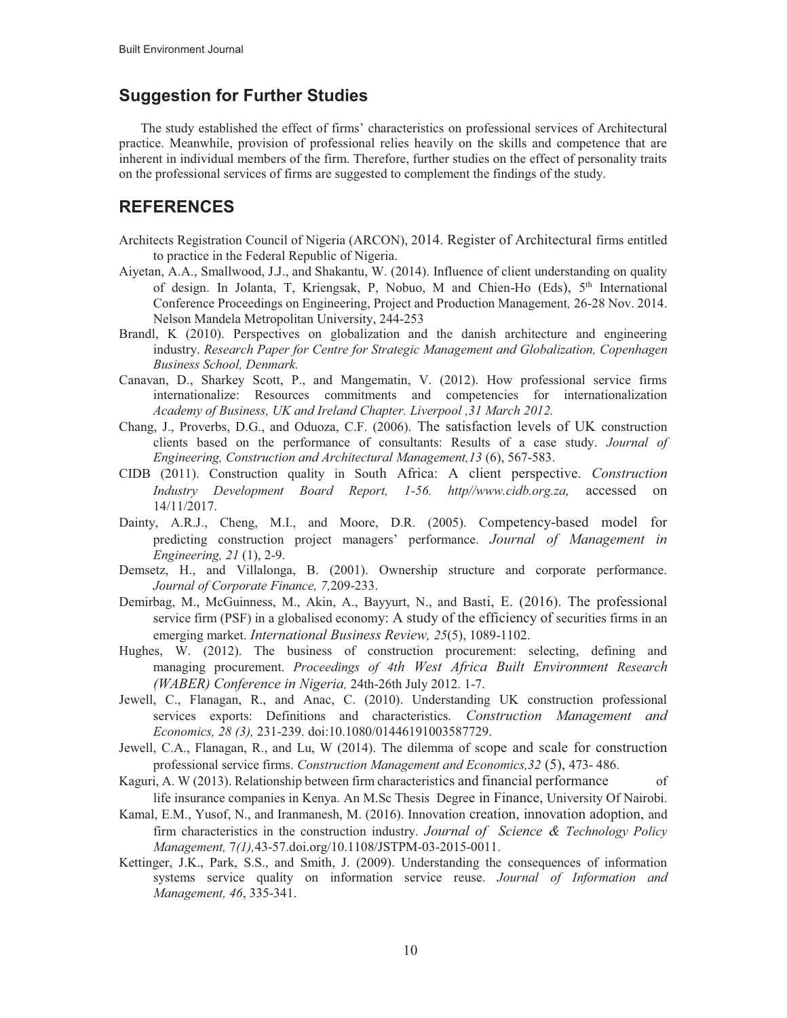### **Suggestion for Further Studies**

The study established the effect of firms' characteristics on professional services of Architectural practice. Meanwhile, provision of professional relies heavily on the skills and competence that are inherent in individual members of the firm. Therefore, further studies on the effect of personality traits on the professional services of firms are suggested to complement the findings of the study.

# **REFERENCES**

- Architects Registration Council of Nigeria (ARCON), 2014. Register of Architectural firms entitled to practice in the Federal Republic of Nigeria.
- Aiyetan, A.A., Smallwood, J.J., and Shakantu, W. (2014). Influence of client understanding on quality of design. In Jolanta, T, Kriengsak, P, Nobuo, M and Chien-Ho (Eds),  $5<sup>th</sup>$  International Conference Proceedings on Engineering, Project and Production Management*,* 26-28 Nov. 2014. Nelson Mandela Metropolitan University, 244-253
- Brandl, K (2010). Perspectives on globalization and the danish architecture and engineering industry. *Research Paper for Centre for Strategic Management and Globalization, Copenhagen Business School, Denmark.*
- Canavan, D., Sharkey Scott, P., and Mangematin, V. (2012). How professional service firms internationalize: Resources commitments and competencies for internationalization *Academy of Business, UK and Ireland Chapter. Liverpool ,31 March 2012.*
- Chang, J., Proverbs, D.G., and Oduoza, C.F. (2006). The satisfaction levels of UK construction clients based on the performance of consultants: Results of a case study. *Journal of Engineering, Construction and Architectural Management,13* (6), 567-583.
- CIDB (2011). Construction quality in South Africa: A client perspective. *Construction Industry Development Board Report, 1-56. http//www.cidb.org.za,* accessed on 14/11/2017.
- Dainty, A.R.J., Cheng, M.I., and Moore, D.R. (2005). Competency-based model for predicting construction project managers' performance. *Journal of Management in Engineering, 21* (1), 2-9.
- Demsetz, H., and Villalonga, B. (2001). Ownership structure and corporate performance. *Journal of Corporate Finance, 7,*209-233.
- Demirbag, M., McGuinness, M., Akin, A., Bayyurt, N., and Basti, E. (2016). The professional service firm (PSF) in a globalised economy: A study of the efficiency of securities firms in an emerging market. *International Business Review, 25*(5), 1089-1102.
- Hughes, W. (2012). The business of construction procurement: selecting, defining and managing procurement. *Proceedings of 4th West Africa Built Environment Research (WABER) Conference in Nigeria,* 24th-26th July 2012. 1-7.
- Jewell, C., Flanagan, R., and Anac, C. (2010). Understanding UK construction professional services exports: Definitions and characteristics*. Construction Management and Economics, 28 (3),* 231-239. doi:10.1080/01446191003587729.
- Jewell, C.A., Flanagan, R., and Lu, W (2014). The dilemma of scope and scale for construction professional service firms. *Construction Management and Economics,32* (5), 473- 486.
- Kaguri, A. W (2013). Relationship between firm characteristics and financial performance of life insurance companies in Kenya. An M.Sc Thesis Degree in Finance, University Of Nairobi.
- Kamal, E.M., Yusof, N., and Iranmanesh, M. (2016). Innovation creation, innovation adoption, and firm characteristics in the construction industry. *Journal of Science & Technology Policy Management,* 7*(1),*43-57.doi.org/10.1108/JSTPM-03-2015-0011.
- Kettinger, J.K., Park, S.S., and Smith, J. (2009). Understanding the consequences of information systems service quality on information service reuse. *Journal of Information and Management, 46*, 335-341.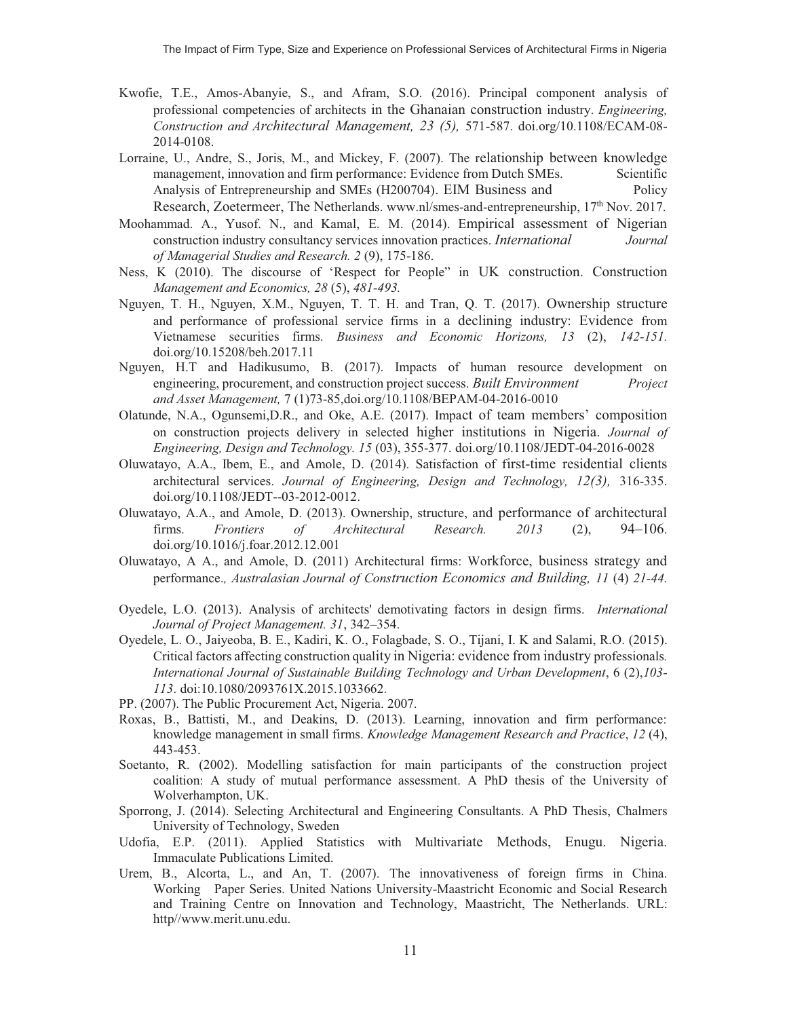- Kwofie, T.E., Amos-Abanyie, S., and Afram, S.O. (2016). Principal component analysis of professional competencies of architects in the Ghanaian construction industry. *Engineering, Construction and Architectural Management, 23 (5),* 571-587. doi.org/10.1108/ECAM-08- 2014-0108.
- Lorraine, U., Andre, S., Joris, M., and Mickey, F. (2007). The relationship between knowledge management, innovation and firm performance: Evidence from Dutch SMEs. Scientific Analysis of Entrepreneurship and SMEs (H200704). EIM Business and Policy Research, Zoetermeer, The Netherlands. www.nl/smes-and-entrepreneurship,  $17<sup>th</sup>$  Nov. 2017.
- Moohammad. A., Yusof. N., and Kamal, E. M. (2014). Empirical assessment of Nigerian construction industry consultancy services innovation practices. *International Journal of Managerial Studies and Research. 2* (9), 175-186.
- Ness, K (2010). The discourse of 'Respect for People" in UK construction. Construction *Management and Economics, 28* (5), *481-493.*
- Nguyen, T. H., Nguyen, X.M., Nguyen, T. T. H. and Tran, Q. T. (2017). Ownership structure and performance of professional service firms in a declining industry: Evidence from Vietnamese securities firms. *Business and Economic Horizons, 13* (2), *142-151.* doi.org/10.15208/beh.2017.11
- Nguyen, H.T and Hadikusumo, B. (2017). Impacts of human resource development on engineering, procurement, and construction project success. *Built Environment Project and Asset Management,* 7 (1)73-85,doi.org/10.1108/BEPAM-04-2016-0010
- Olatunde, N.A., Ogunsemi,D.R., and Oke, A.E. (2017). Impact of team members' composition on construction projects delivery in selected higher institutions in Nigeria. *Journal of Engineering, Design and Technology. 15* (03), 355-377. doi.org/10.1108/JEDT-04-2016-0028
- Oluwatayo, A.A., Ibem, E., and Amole, D. (2014). Satisfaction of first-time residential clients architectural services. *Journal of Engineering, Design and Technology, 12(3),* 316-335. doi.org/10.1108/JEDT--03-2012-0012.
- Oluwatayo, A.A., and Amole, D. (2013). Ownership, structure, and performance of architectural firms. *Frontiers of Architectural Research. 2013* (2), 94–106. doi.org/10.1016/j.foar.2012.12.001
- Oluwatayo, A A., and Amole, D. (2011) Architectural firms: Workforce, business strategy and performance.*, Australasian Journal of Construction Economics and Building, 11* (4) *21-44.*
- Oyedele, L.O. (2013). Analysis of architects' demotivating factors in design firms. *International Journal of Project Management. 31*, 342–354.
- Oyedele, L. O., Jaiyeoba, B. E., Kadiri, K. O., Folagbade, S. O., Tijani, I. K and Salami, R.O. (2015). Critical factors affecting construction quality in Nigeria: evidence from industry professionals*. International Journal of Sustainable Building Technology and Urban Development*, 6 (2),*103- 113*. doi:10.1080/2093761X.2015.1033662.
- PP. (2007). The Public Procurement Act, Nigeria. 2007.
- Roxas, B., Battisti, M., and Deakins, D. (2013). Learning, innovation and firm performance: knowledge management in small firms. *Knowledge Management Research and Practice*, *12* (4), 443-453.
- Soetanto, R. (2002). Modelling satisfaction for main participants of the construction project coalition: A study of mutual performance assessment. A PhD thesis of the University of Wolverhampton, UK.
- Sporrong, J. (2014). Selecting Architectural and Engineering Consultants. A PhD Thesis, Chalmers University of Technology, Sweden
- Udofia, E.P. (2011). Applied Statistics with Multivariate Methods, Enugu. Nigeria. Immaculate Publications Limited.
- Urem, B., Alcorta, L., and An, T. (2007). The innovativeness of foreign firms in China. Working Paper Series. United Nations University-Maastricht Economic and Social Research and Training Centre on Innovation and Technology, Maastricht, The Netherlands. URL: http//www.merit.unu.edu.